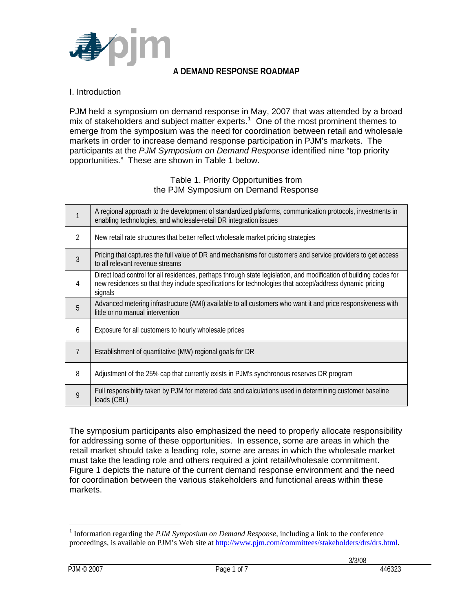

## **A DEMAND RESPONSE ROADMAP**

#### I. Introduction

PJM held a symposium on demand response in May, 2007 that was attended by a broad mix of stakeholders and subject matter experts.<sup>[1](#page-0-0)</sup> One of the most prominent themes to emerge from the symposium was the need for coordination between retail and wholesale markets in order to increase demand response participation in PJM's markets. The participants at the *PJM Symposium on Demand Response* identified nine "top priority opportunities." These are shown in Table 1 below.

#### Table 1. Priority Opportunities from the PJM Symposium on Demand Response

|                | A regional approach to the development of standardized platforms, communication protocols, investments in<br>enabling technologies, and wholesale-retail DR integration issues                                                          |
|----------------|-----------------------------------------------------------------------------------------------------------------------------------------------------------------------------------------------------------------------------------------|
| 2              | New retail rate structures that better reflect wholesale market pricing strategies                                                                                                                                                      |
| $\mathfrak{Z}$ | Pricing that captures the full value of DR and mechanisms for customers and service providers to get access<br>to all relevant revenue streams                                                                                          |
| 4              | Direct load control for all residences, perhaps through state legislation, and modification of building codes for<br>new residences so that they include specifications for technologies that accept/address dynamic pricing<br>signals |
| 5              | Advanced metering infrastructure (AMI) available to all customers who want it and price responsiveness with<br>little or no manual intervention                                                                                         |
| 6              | Exposure for all customers to hourly wholesale prices                                                                                                                                                                                   |
| 7              | Establishment of quantitative (MW) regional goals for DR                                                                                                                                                                                |
| 8              | Adjustment of the 25% cap that currently exists in PJM's synchronous reserves DR program                                                                                                                                                |
| 9              | Full responsibility taken by PJM for metered data and calculations used in determining customer baseline<br>loads (CBL)                                                                                                                 |

The symposium participants also emphasized the need to properly allocate responsibility for addressing some of these opportunities. In essence, some are areas in which the retail market should take a leading role, some are areas in which the wholesale market must take the leading role and others required a joint retail/wholesale commitment. Figure 1 depicts the nature of the current demand response environment and the need for coordination between the various stakeholders and functional areas within these markets.

 $\overline{a}$ 

<span id="page-0-0"></span><sup>&</sup>lt;sup>1</sup> Information regarding the *PJM Symposium on Demand Response*, including a link to the conference proceedings, is available on PJM's Web site at [http://www.pjm.com/committees/stakeholders/drs/drs.html.](http://www.pjm.com/committees/stakeholders/drs/drs.html)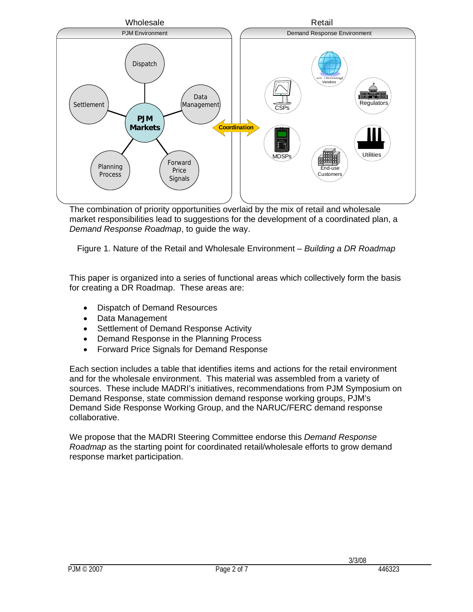

The combination of priority opportunities overlaid by the mix of retail and wholesale market responsibilities lead to suggestions for the development of a coordinated plan, a *Demand Response Roadmap*, to guide the way.

Figure 1. Nature of the Retail and Wholesale Environment – *Building a DR Roadmap* 

This paper is organized into a series of functional areas which collectively form the basis for creating a DR Roadmap. These areas are:

- Dispatch of Demand Resources
- Data Management
- Settlement of Demand Response Activity
- Demand Response in the Planning Process
- Forward Price Signals for Demand Response

Each section includes a table that identifies items and actions for the retail environment and for the wholesale environment. This material was assembled from a variety of sources. These include MADRI's initiatives, recommendations from PJM Symposium on Demand Response, state commission demand response working groups, PJM's Demand Side Response Working Group, and the NARUC/FERC demand response collaborative.

We propose that the MADRI Steering Committee endorse this *Demand Response Roadmap* as the starting point for coordinated retail/wholesale efforts to grow demand response market participation.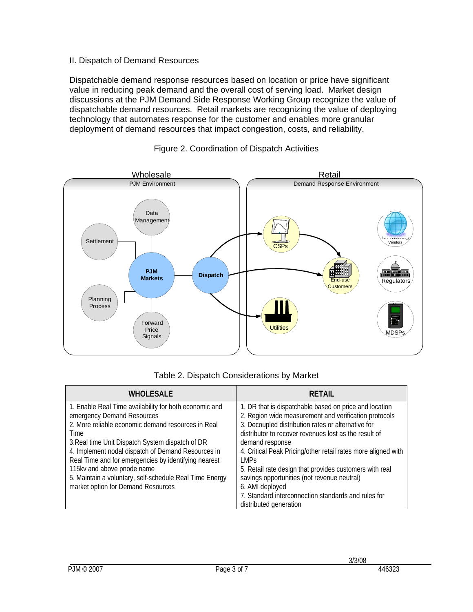### II. Dispatch of Demand Resources

Dispatchable demand response resources based on location or price have significant value in reducing peak demand and the overall cost of serving load. Market design discussions at the PJM Demand Side Response Working Group recognize the value of dispatchable demand resources. Retail markets are recognizing the value of deploying technology that automates response for the customer and enables more granular deployment of demand resources that impact congestion, costs, and reliability.



#### Figure 2. Coordination of Dispatch Activities

# Table 2. Dispatch Considerations by Market

| <b>WHOLESALE</b>                                        | <b>RETAIL</b>                                                 |
|---------------------------------------------------------|---------------------------------------------------------------|
| 1. Enable Real Time availability for both economic and  | 1. DR that is dispatchable based on price and location        |
| emergency Demand Resources                              | 2. Region wide measurement and verification protocols         |
| 2. More reliable economic demand resources in Real      | 3. Decoupled distribution rates or alternative for            |
| Time                                                    | distributor to recover revenues lost as the result of         |
| 3. Real time Unit Dispatch System dispatch of DR        | demand response                                               |
| 4. Implement nodal dispatch of Demand Resources in      | 4. Critical Peak Pricing/other retail rates more aligned with |
| Real Time and for emergencies by identifying nearest    | I MPs                                                         |
| 115kv and above pnode name                              | 5. Retail rate design that provides customers with real       |
| 5. Maintain a voluntary, self-schedule Real Time Energy | savings opportunities (not revenue neutral)                   |
| market option for Demand Resources                      | 6. AMI deployed                                               |
|                                                         | 7. Standard interconnection standards and rules for           |
|                                                         | distributed generation                                        |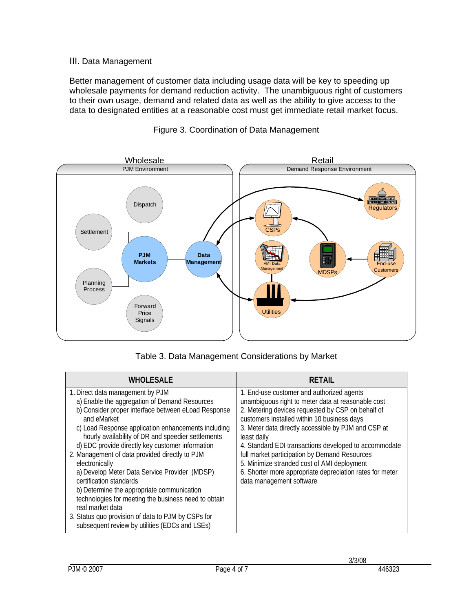# III. Data Management

Better management of customer data including usage data will be key to speeding up wholesale payments for demand reduction activity. The unambiguous right of customers to their own usage, demand and related data as well as the ability to give access to the data to designated entities at a reasonable cost must get immediate retail market focus.



### Figure 3. Coordination of Data Management

|  |  | Table 3. Data Management Considerations by Market |  |
|--|--|---------------------------------------------------|--|
|--|--|---------------------------------------------------|--|

| <b>WHOLESALE</b>                                                                                                                                                                                                                                                                                                                                                                                                                                                                                                                                                                                                                                                                                           | <b>RETAIL</b>                                                                                                                                                                                                                                                                                                                                                                                                                                                                                                              |
|------------------------------------------------------------------------------------------------------------------------------------------------------------------------------------------------------------------------------------------------------------------------------------------------------------------------------------------------------------------------------------------------------------------------------------------------------------------------------------------------------------------------------------------------------------------------------------------------------------------------------------------------------------------------------------------------------------|----------------------------------------------------------------------------------------------------------------------------------------------------------------------------------------------------------------------------------------------------------------------------------------------------------------------------------------------------------------------------------------------------------------------------------------------------------------------------------------------------------------------------|
| 1. Direct data management by PJM<br>a) Enable the aggregation of Demand Resources<br>b) Consider proper interface between eLoad Response<br>and eMarket<br>c) Load Response application enhancements including<br>hourly availability of DR and speedier settlements<br>d) EDC provide directly key customer information<br>2. Management of data provided directly to PJM<br>electronically<br>a) Develop Meter Data Service Provider (MDSP)<br>certification standards<br>b) Determine the appropriate communication<br>technologies for meeting the business need to obtain<br>real market data<br>3. Status quo provision of data to PJM by CSPs for<br>subsequent review by utilities (EDCs and LSEs) | 1. End-use customer and authorized agents<br>unambiguous right to meter data at reasonable cost<br>2. Metering devices requested by CSP on behalf of<br>customers installed within 10 business days<br>3. Meter data directly accessible by PJM and CSP at<br>least daily<br>4. Standard EDI transactions developed to accommodate<br>full market participation by Demand Resources<br>5. Minimize stranded cost of AMI deployment<br>6. Shorter more appropriate depreciation rates for meter<br>data management software |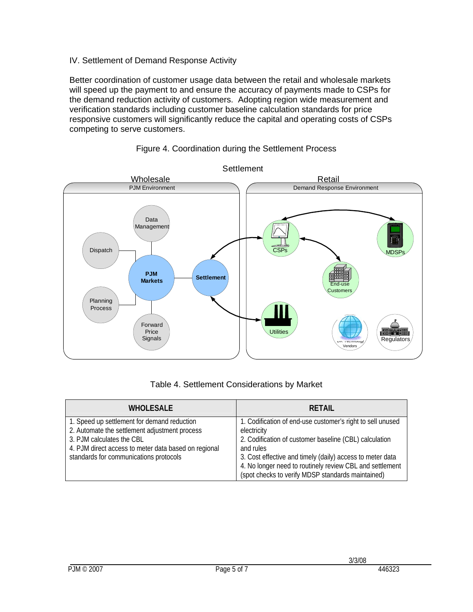## IV. Settlement of Demand Response Activity

Better coordination of customer usage data between the retail and wholesale markets will speed up the payment to and ensure the accuracy of payments made to CSPs for the demand reduction activity of customers. Adopting region wide measurement and verification standards including customer baseline calculation standards for price responsive customers will significantly reduce the capital and operating costs of CSPs competing to serve customers.



#### Figure 4. Coordination during the Settlement Process

# Table 4. Settlement Considerations by Market

| <b>WHOLESALE</b>                                                                                                          | <b>RETAIL</b>                                                                                                                                                                           |
|---------------------------------------------------------------------------------------------------------------------------|-----------------------------------------------------------------------------------------------------------------------------------------------------------------------------------------|
| 1. Speed up settlement for demand reduction<br>2. Automate the settlement adjustment process<br>3. PJM calculates the CBL | 1. Codification of end-use customer's right to sell unused<br>electricity<br>2. Codification of customer baseline (CBL) calculation                                                     |
| 4. PJM direct access to meter data based on regional<br>standards for communications protocols                            | and rules<br>3. Cost effective and timely (daily) access to meter data<br>4. No longer need to routinely review CBL and settlement<br>(spot checks to verify MDSP standards maintained) |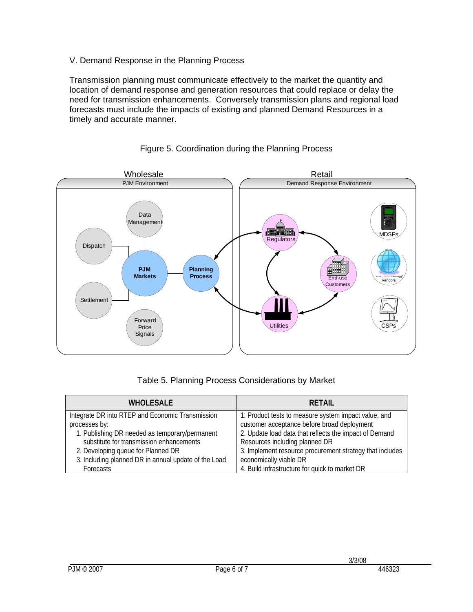# V. Demand Response in the Planning Process

Transmission planning must communicate effectively to the market the quantity and location of demand response and generation resources that could replace or delay the need for transmission enhancements. Conversely transmission plans and regional load forecasts must include the impacts of existing and planned Demand Resources in a timely and accurate manner.



# Figure 5. Coordination during the Planning Process

|  | Table 5. Planning Process Considerations by Market |  |
|--|----------------------------------------------------|--|
|  |                                                    |  |

| <b>WHOLESALE</b>                                     | <b>RETAIL</b>                                            |
|------------------------------------------------------|----------------------------------------------------------|
| Integrate DR into RTEP and Economic Transmission     | 1. Product tests to measure system impact value, and     |
| processes by:                                        | customer acceptance before broad deployment              |
| 1. Publishing DR needed as temporary/permanent       | 2. Update load data that reflects the impact of Demand   |
| substitute for transmission enhancements             | Resources including planned DR                           |
| 2. Developing queue for Planned DR                   | 3. Implement resource procurement strategy that includes |
| 3. Including planned DR in annual update of the Load | economically viable DR                                   |
| Forecasts                                            | 4. Build infrastructure for quick to market DR           |